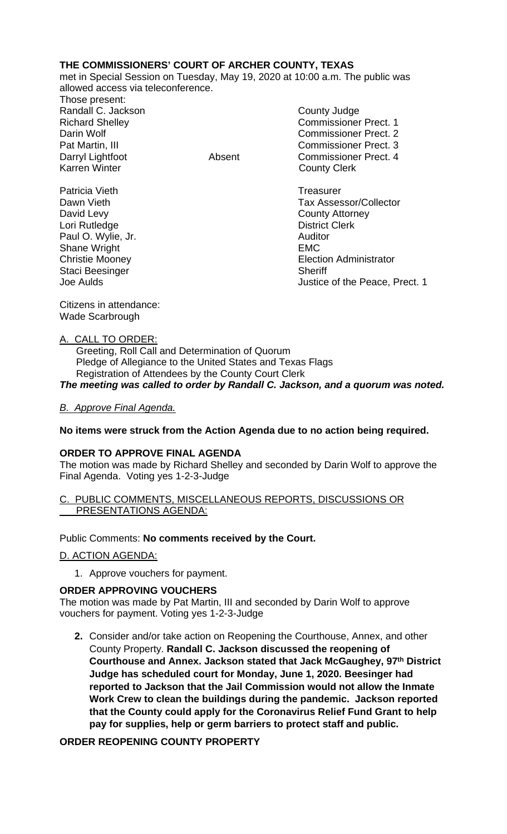## **THE COMMISSIONERS' COURT OF ARCHER COUNTY, TEXAS**

met in Special Session on Tuesday, May 19, 2020 at 10:00 a.m. The public was allowed access via teleconference.

Those present: Randall C. Jackson County Judge Karren Winter **County Clerk** 

Richard Shelley Commissioner Prect. 1 Darin Wolf Commissioner Prect. 2 Pat Martin, III Commissioner Prect. 3 Darryl Lightfoot Absent Commissioner Prect. 4

Patricia Vieth **Treasurer Treasurer** Dawn Vieth Tax Assessor/Collector David Levy **County Attorney** Lori Rutledge **District Clerk** Paul O. Wylie, Jr. **Auditor Paul O. Wylie, Jr. Auditor** Shane Wright **EMC** Christie Mooney<br>
Staci Beesinger<br>
Staci Beesinger Justice of the Peace, Prect. 1

Citizens in attendance: Wade Scarbrough

Staci Beesinger<br>Joe Aulds

### A. CALL TO ORDER:

 Greeting, Roll Call and Determination of Quorum Pledge of Allegiance to the United States and Texas Flags Registration of Attendees by the County Court Clerk *The meeting was called to order by Randall C. Jackson, and a quorum was noted.*

## *B. Approve Final Agenda.*

### **No items were struck from the Action Agenda due to no action being required.**

### **ORDER TO APPROVE FINAL AGENDA**

The motion was made by Richard Shelley and seconded by Darin Wolf to approve the Final Agenda. Voting yes 1-2-3-Judge

#### C. PUBLIC COMMENTS, MISCELLANEOUS REPORTS, DISCUSSIONS OR PRESENTATIONS AGENDA:

### Public Comments: **No comments received by the Court.**

### D. ACTION AGENDA:

1. Approve vouchers for payment.

### **ORDER APPROVING VOUCHERS**

The motion was made by Pat Martin, III and seconded by Darin Wolf to approve vouchers for payment. Voting yes 1-2-3-Judge

**2.** Consider and/or take action on Reopening the Courthouse, Annex, and other County Property. **Randall C. Jackson discussed the reopening of Courthouse and Annex. Jackson stated that Jack McGaughey, 97th District Judge has scheduled court for Monday, June 1, 2020. Beesinger had reported to Jackson that the Jail Commission would not allow the Inmate Work Crew to clean the buildings during the pandemic. Jackson reported that the County could apply for the Coronavirus Relief Fund Grant to help pay for supplies, help or germ barriers to protect staff and public.**

# **ORDER REOPENING COUNTY PROPERTY**